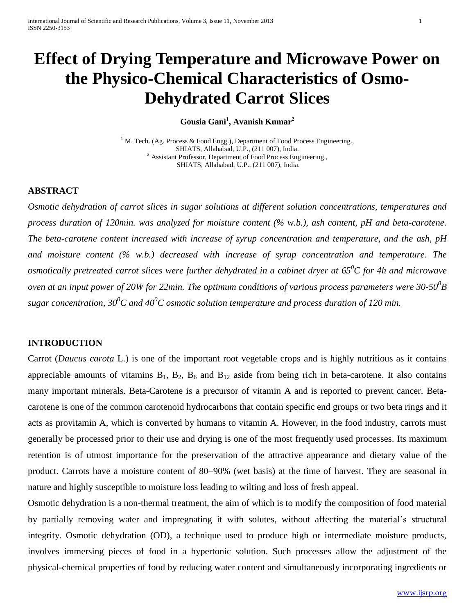# **Effect of Drying Temperature and Microwave Power on the Physico-Chemical Characteristics of Osmo-Dehydrated Carrot Slices**

**Gousia Gani<sup>1</sup> , Avanish Kumar<sup>2</sup>**

<sup>1</sup> M. Tech. (Ag. Process & Food Engg.), Department of Food Process Engineering., SHIATS, Allahabad, U.P., (211 007), India. <sup>2</sup> Assistant Professor, Department of Food Process Engineering., SHIATS, Allahabad, U.P., (211 007), India.

# **ABSTRACT**

*Osmotic dehydration of carrot slices in sugar solutions at different solution concentrations, temperatures and process duration of 120min. was analyzed for moisture content (% w.b.), ash content, pH and beta-carotene. The beta-carotene content increased with increase of syrup concentration and temperature, and the ash, pH and moisture content (% w.b.) decreased with increase of syrup concentration and temperature*. *The osmotically pretreated carrot slices were further dehydrated in a cabinet dryer at 65<sup>0</sup>C for 4h and microwave oven at an input power of 20W for 22min. The optimum conditions of various process parameters were 30-50<sup>0</sup> B sugar concentration, 30<sup>0</sup>C and 40<sup>0</sup>C osmotic solution temperature and process duration of 120 min.*

# **INTRODUCTION**

Carrot (*Daucus carota* L.) is one of the important root vegetable crops and is highly nutritious as it contains appreciable amounts of vitamins  $B_1$ ,  $B_2$ ,  $B_6$  and  $B_{12}$  aside from being rich in beta-carotene. It also contains many important minerals. Beta-Carotene is a precursor of vitamin A and is reported to prevent cancer. Betacarotene is one of the common carotenoid hydrocarbons that contain specific end groups or two beta rings and it acts as provitamin A, which is converted by humans to vitamin A. However, in the food industry, carrots must generally be processed prior to their use and drying is one of the most frequently used processes. Its maximum retention is of utmost importance for the preservation of the attractive appearance and dietary value of the product. Carrots have a moisture content of 80–90% (wet basis) at the time of harvest. They are seasonal in nature and highly susceptible to moisture loss leading to wilting and loss of fresh appeal.

Osmotic dehydration is a non-thermal treatment, the aim of which is to modify the composition of food material by partially removing water and impregnating it with solutes, without affecting the material's structural integrity. Osmotic dehydration (OD), a technique used to produce high or intermediate moisture products, involves immersing pieces of food in a hypertonic solution. Such processes allow the adjustment of the physical-chemical properties of food by reducing water content and simultaneously incorporating ingredients or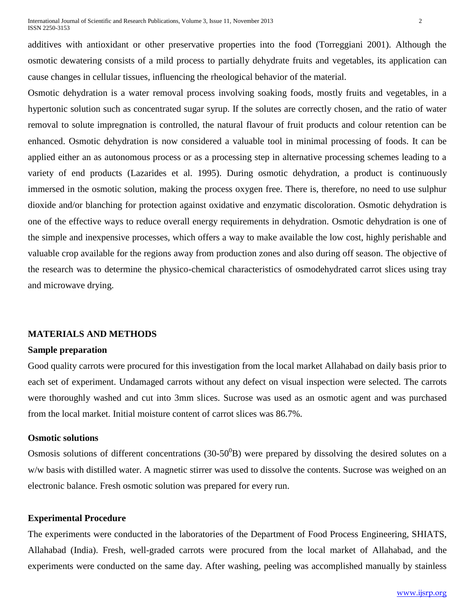additives with antioxidant or other preservative properties into the food (Torreggiani 2001). Although the osmotic dewatering consists of a mild process to partially dehydrate fruits and vegetables, its application can cause changes in cellular tissues, influencing the rheological behavior of the material.

Osmotic dehydration is a water removal process involving soaking foods, mostly fruits and vegetables, in a hypertonic solution such as concentrated sugar syrup. If the solutes are correctly chosen, and the ratio of water removal to solute impregnation is controlled, the natural flavour of fruit products and colour retention can be enhanced. Osmotic dehydration is now considered a valuable tool in minimal processing of foods. It can be applied either an as autonomous process or as a processing step in alternative processing schemes leading to a variety of end products (Lazarides et al. 1995). During osmotic dehydration, a product is continuously immersed in the osmotic solution, making the process oxygen free. There is, therefore, no need to use sulphur dioxide and/or blanching for protection against oxidative and enzymatic discoloration. Osmotic dehydration is one of the effective ways to reduce overall energy requirements in dehydration. Osmotic dehydration is one of the simple and inexpensive processes, which offers a way to make available the low cost, highly perishable and valuable crop available for the regions away from production zones and also during off season. The objective of the research was to determine the physico-chemical characteristics of osmodehydrated carrot slices using tray and microwave drying.

# **MATERIALS AND METHODS**

#### **Sample preparation**

Good quality carrots were procured for this investigation from the local market Allahabad on daily basis prior to each set of experiment. Undamaged carrots without any defect on visual inspection were selected. The carrots were thoroughly washed and cut into 3mm slices. Sucrose was used as an osmotic agent and was purchased from the local market. Initial moisture content of carrot slices was 86.7%.

# **Osmotic solutions**

Osmosis solutions of different concentrations (30-50 $^{0}$ B) were prepared by dissolving the desired solutes on a w/w basis with distilled water. A magnetic stirrer was used to dissolve the contents. Sucrose was weighed on an electronic balance. Fresh osmotic solution was prepared for every run.

## **Experimental Procedure**

The experiments were conducted in the laboratories of the Department of Food Process Engineering, SHIATS, Allahabad (India). Fresh, well-graded carrots were procured from the local market of Allahabad, and the experiments were conducted on the same day. After washing, peeling was accomplished manually by stainless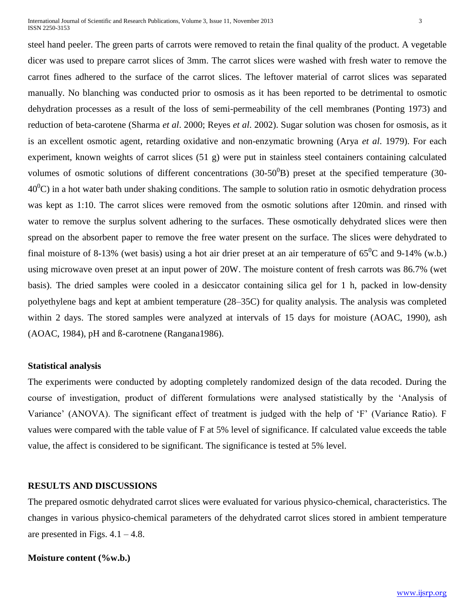International Journal of Scientific and Research Publications, Volume 3, Issue 11, November 2013 3 ISSN 2250-3153

steel hand peeler. The green parts of carrots were removed to retain the final quality of the product. A vegetable dicer was used to prepare carrot slices of 3mm. The carrot slices were washed with fresh water to remove the carrot fines adhered to the surface of the carrot slices. The leftover material of carrot slices was separated manually. No blanching was conducted prior to osmosis as it has been reported to be detrimental to osmotic dehydration processes as a result of the loss of semi-permeability of the cell membranes (Ponting 1973) and reduction of beta-carotene (Sharma *et al*. 2000; Reyes *et al*. 2002). Sugar solution was chosen for osmosis, as it is an excellent osmotic agent, retarding oxidative and non-enzymatic browning (Arya *et al*. 1979). For each experiment, known weights of carrot slices (51 g) were put in stainless steel containers containing calculated volumes of osmotic solutions of different concentrations  $(30-50^{0}B)$  preset at the specified temperature  $(30-50^{0}B)$  $40^{\circ}$ C) in a hot water bath under shaking conditions. The sample to solution ratio in osmotic dehydration process was kept as 1:10. The carrot slices were removed from the osmotic solutions after 120min. and rinsed with water to remove the surplus solvent adhering to the surfaces. These osmotically dehydrated slices were then spread on the absorbent paper to remove the free water present on the surface. The slices were dehydrated to final moisture of 8-13% (wet basis) using a hot air drier preset at an air temperature of  $65^{\circ}$ C and 9-14% (w.b.) using microwave oven preset at an input power of 20W. The moisture content of fresh carrots was 86.7% (wet basis). The dried samples were cooled in a desiccator containing silica gel for 1 h, packed in low-density polyethylene bags and kept at ambient temperature (28–35C) for quality analysis. The analysis was completed within 2 days. The stored samples were analyzed at intervals of 15 days for moisture (AOAC, 1990), ash (AOAC, 1984), pH and ß-carotnene (Rangana1986).

# **Statistical analysis**

The experiments were conducted by adopting completely randomized design of the data recoded. During the course of investigation, product of different formulations were analysed statistically by the 'Analysis of Variance' (ANOVA). The significant effect of treatment is judged with the help of 'F' (Variance Ratio). F values were compared with the table value of F at 5% level of significance. If calculated value exceeds the table value, the affect is considered to be significant. The significance is tested at 5% level.

#### **RESULTS AND DISCUSSIONS**

The prepared osmotic dehydrated carrot slices were evaluated for various physico-chemical, characteristics. The changes in various physico-chemical parameters of the dehydrated carrot slices stored in ambient temperature are presented in Figs.  $4.1 - 4.8$ .

# **Moisture content (%w.b.)**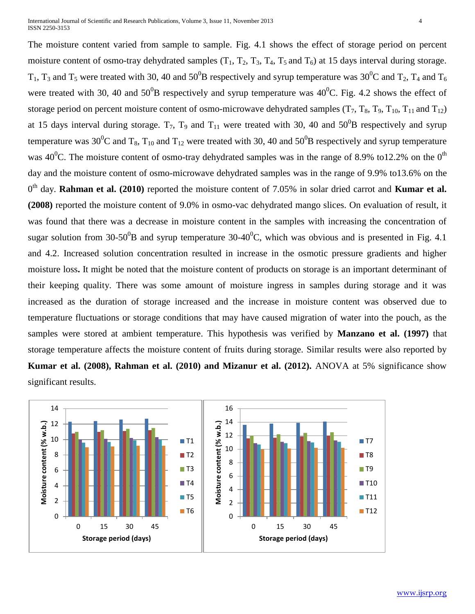The moisture content varied from sample to sample. Fig. 4.1 shows the effect of storage period on percent moisture content of osmo-tray dehydrated samples  $(T_1, T_2, T_3, T_4, T_5, T_6)$  at 15 days interval during storage.  $T_1$ ,  $T_3$  and  $T_5$  were treated with 30, 40 and 50<sup>0</sup>B respectively and syrup temperature was 30<sup>0</sup>C and  $T_2$ ,  $T_4$  and  $T_6$ were treated with 30, 40 and  $50^0B$  respectively and syrup temperature was  $40^0C$ . Fig. 4.2 shows the effect of storage period on percent moisture content of osmo-microwave dehydrated samples  $(T_7, T_8, T_9, T_{10}, T_{11}$  and  $T_{12})$ at 15 days interval during storage.  $T_7$ ,  $T_9$  and  $T_{11}$  were treated with 30, 40 and 50<sup>0</sup>B respectively and syrup temperature was 30<sup>0</sup>C and T<sub>8</sub>, T<sub>10</sub> and T<sub>12</sub> were treated with 30, 40 and 50<sup>0</sup>B respectively and syrup temperature was 40<sup>0</sup>C. The moisture content of osmo-tray dehydrated samples was in the range of 8.9% to12.2% on the 0<sup>th</sup> day and the moisture content of osmo-microwave dehydrated samples was in the range of 9.9% to13.6% on the 0<sup>th</sup> day. **Rahman et al. (2010**) reported the moisture content of 7.05% in solar dried carrot and **Kumar et al. (2008)** reported the moisture content of 9.0% in osmo-vac dehydrated mango slices. On evaluation of result, it was found that there was a decrease in moisture content in the samples with increasing the concentration of sugar solution from 30-50<sup>0</sup>B and syrup temperature 30-40<sup>0</sup>C, which was obvious and is presented in Fig. 4.1 and 4.2. Increased solution concentration resulted in increase in the osmotic pressure gradients and higher moisture loss**.** It might be noted that the moisture content of products on storage is an important determinant of their keeping quality. There was some amount of moisture ingress in samples during storage and it was increased as the duration of storage increased and the increase in moisture content was observed due to temperature fluctuations or storage conditions that may have caused migration of water into the pouch, as the samples were stored at ambient temperature. This hypothesis was verified by **Manzano et al. (1997)** that storage temperature affects the moisture content of fruits during storage. Similar results were also reported by **Kumar et al. (2008), Rahman et al. (2010) and Mizanur et al. (2012).** ANOVA at 5% significance show significant results.

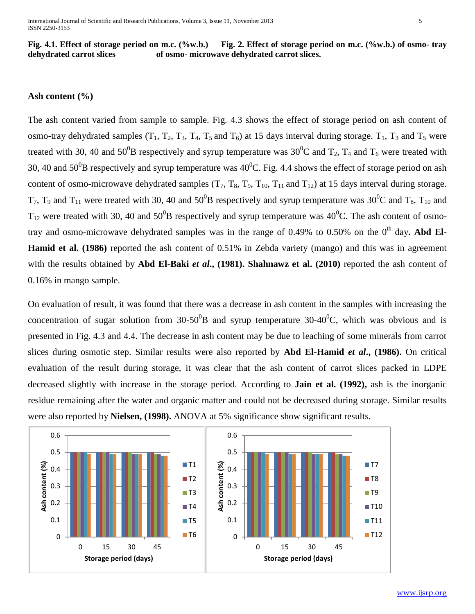**Fig. 4.1. Effect of storage period on m.c. (%w.b.) Fig. 2. Effect of storage period on m.c. (%w.b.) of osmo- tray dehydrated carrot slices of osmo- microwave dehydrated carrot slices.**

#### **Ash content (%)**

The ash content varied from sample to sample. Fig. 4.3 shows the effect of storage period on ash content of osmo-tray dehydrated samples  $(T_1, T_2, T_3, T_4, T_5$  and  $T_6$ ) at 15 days interval during storage.  $T_1$ ,  $T_3$  and  $T_5$  were treated with 30, 40 and 50<sup>0</sup>B respectively and syrup temperature was 30<sup>0</sup>C and T<sub>2</sub>, T<sub>4</sub> and T<sub>6</sub> were treated with 30, 40 and  $50^0$ B respectively and syrup temperature was  $40^0$ C. Fig. 4.4 shows the effect of storage period on ash content of osmo-microwave dehydrated samples  $(T_7, T_8, T_9, T_{10}, T_{11}$  and  $T_{12}$ ) at 15 days interval during storage.  $T_7$ ,  $T_9$  and  $T_{11}$  were treated with 30, 40 and 50<sup>0</sup>B respectively and syrup temperature was 30<sup>0</sup>C and  $T_8$ ,  $T_{10}$  and  $T_{12}$  were treated with 30, 40 and 50<sup>0</sup>B respectively and syrup temperature was 40<sup>0</sup>C. The ash content of osmotray and osmo-microwave dehydrated samples was in the range of  $0.49\%$  to  $0.50\%$  on the 0<sup>th</sup> day. Abd El-**Hamid et al. (1986)** reported the ash content of 0.51% in Zebda variety (mango) and this was in agreement with the results obtained by **Abd El-Baki** *et al***., (1981). Shahnawz et al. (2010)** reported the ash content of 0.16% in mango sample.

On evaluation of result, it was found that there was a decrease in ash content in the samples with increasing the concentration of sugar solution from  $30-50^0$ B and syrup temperature  $30-40^0$ C, which was obvious and is presented in Fig. 4.3 and 4.4. The decrease in ash content may be due to leaching of some minerals from carrot slices during osmotic step. Similar results were also reported by **Abd El-Hamid** *et al***., (1986).** On critical evaluation of the result during storage, it was clear that the ash content of carrot slices packed in LDPE decreased slightly with increase in the storage period. According to **Jain et al. (1992),** ash is the inorganic residue remaining after the water and organic matter and could not be decreased during storage. Similar results were also reported by **Nielsen, (1998).** ANOVA at 5% significance show significant results.



www.ijsrp.org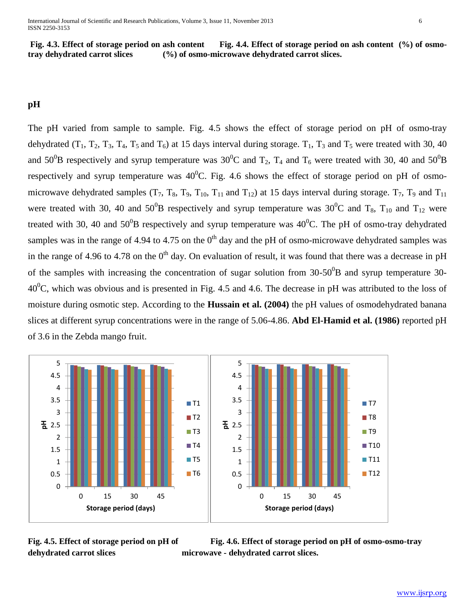**Fig. 4.3. Effect of storage period on ash content Fig. 4.4. Effect of storage period on ash content (%) of osmotray dehydrated carrot slices (%) of osmo-microwave dehydrated carrot slices.**

# **pH**

The pH varied from sample to sample. Fig. 4.5 shows the effect of storage period on pH of osmo-tray dehydrated  $(T_1, T_2, T_3, T_4, T_5$  and  $T_6$ ) at 15 days interval during storage.  $T_1, T_3$  and  $T_5$  were treated with 30, 40 and 50<sup>0</sup>B respectively and syrup temperature was 30<sup>0</sup>C and  $T_2$ ,  $T_4$  and  $T_6$  were treated with 30, 40 and 50<sup>0</sup>B respectively and syrup temperature was  $40^{\circ}$ C. Fig. 4.6 shows the effect of storage period on pH of osmomicrowave dehydrated samples  $(T_7, T_8, T_9, T_{10}, T_{11}$  and  $T_{12}$ ) at 15 days interval during storage.  $T_7$ ,  $T_9$  and  $T_{11}$ were treated with 30, 40 and 50<sup>0</sup>B respectively and syrup temperature was 30<sup>0</sup>C and T<sub>8</sub>, T<sub>10</sub> and T<sub>12</sub> were treated with 30, 40 and  $50^{0}B$  respectively and syrup temperature was  $40^{0}C$ . The pH of osmo-tray dehydrated samples was in the range of 4.94 to 4.75 on the  $0<sup>th</sup>$  day and the pH of osmo-microwave dehydrated samples was in the range of 4.96 to 4.78 on the  $0<sup>th</sup>$  day. On evaluation of result, it was found that there was a decrease in pH of the samples with increasing the concentration of sugar solution from  $30-50^0$ B and syrup temperature 30- $40^{\circ}$ C, which was obvious and is presented in Fig. 4.5 and 4.6. The decrease in pH was attributed to the loss of moisture during osmotic step. According to the **Hussain et al. (2004)** the pH values of osmodehydrated banana slices at different syrup concentrations were in the range of 5.06-4.86. **Abd El-Hamid et al. (1986)** reported pH of 3.6 in the Zebda mango fruit.



**dehydrated carrot slices microwave - dehydrated carrot slices.**

Fig. 4.5. Effect of storage period on pH of Fig. 4.6. Effect of storage period on pH of osmo-osmo-tray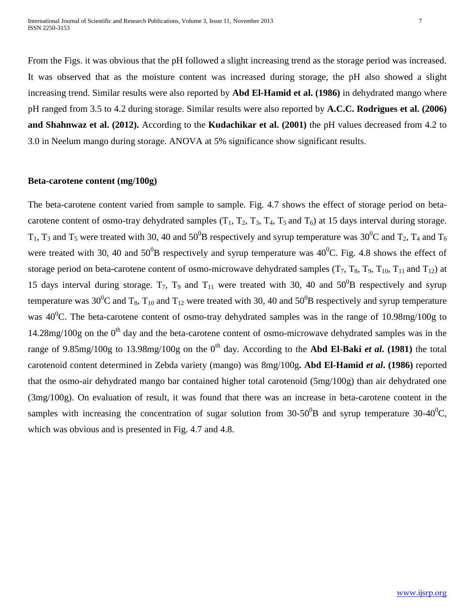From the Figs. it was obvious that the pH followed a slight increasing trend as the storage period was increased. It was observed that as the moisture content was increased during storage, the pH also showed a slight increasing trend. Similar results were also reported by **Abd El-Hamid et al. (1986)** in dehydrated mango where pH ranged from 3.5 to 4.2 during storage. Similar results were also reported by **A.C.C. Rodrigues et al. (2006) and Shahnwaz et al. (2012).** According to the **Kudachikar et al. (2001)** the pH values decreased from 4.2 to 3.0 in Neelum mango during storage. ANOVA at 5% significance show significant results.

#### **Beta-carotene content (mg/100g)**

The beta-carotene content varied from sample to sample. Fig. 4.7 shows the effect of storage period on betacarotene content of osmo-tray dehydrated samples  $(T_1, T_2, T_3, T_4, T_5, T_6)$  at 15 days interval during storage.  $T_1$ ,  $T_3$  and  $T_5$  were treated with 30, 40 and 50<sup>0</sup>B respectively and syrup temperature was 30<sup>0</sup>C and  $T_2$ ,  $T_4$  and  $T_6$ were treated with 30, 40 and  $50^0$ B respectively and syrup temperature was  $40^0$ C. Fig. 4.8 shows the effect of storage period on beta-carotene content of osmo-microwave dehydrated samples  $(T_7, T_8, T_9, T_{10}, T_{11}$  and  $T_{12}$ ) at 15 days interval during storage.  $T_7$ ,  $T_9$  and  $T_{11}$  were treated with 30, 40 and 50<sup>0</sup>B respectively and syrup temperature was 30<sup>0</sup>C and T<sub>8</sub>, T<sub>10</sub> and T<sub>12</sub> were treated with 30, 40 and 50<sup>0</sup>B respectively and syrup temperature was  $40^{\circ}$ C. The beta-carotene content of osmo-tray dehydrated samples was in the range of 10.98mg/100g to  $14.28$ mg/100g on the 0<sup>th</sup> day and the beta-carotene content of osmo-microwave dehydrated samples was in the range of 9.85mg/100g to 13.98mg/100g on the 0<sup>th</sup> day. According to the **Abd El-Baki** *et al***.** (1981) the total carotenoid content determined in Zebda variety (mango) was 8mg/100g**. Abd El-Hamid** *et al***. (1986)** reported that the osmo-air dehydrated mango bar contained higher total carotenoid (5mg/100g) than air dehydrated one (3mg/100g). On evaluation of result, it was found that there was an increase in beta-carotene content in the samples with increasing the concentration of sugar solution from  $30-50^0B$  and syrup temperature  $30-40^0C$ , which was obvious and is presented in Fig. 4.7 and 4.8.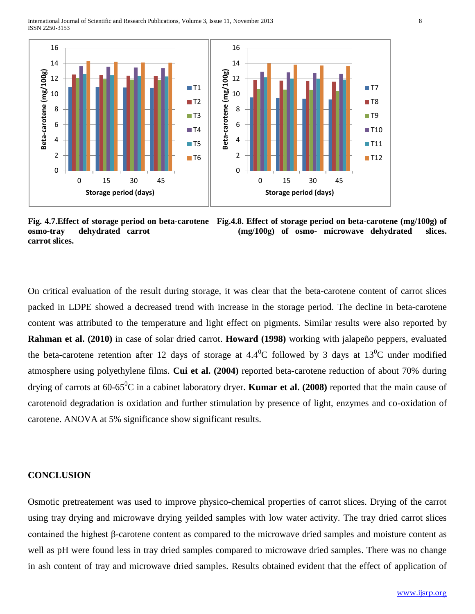

**Fig. 4.7.Effect of storage period on beta-carotene Fig.4.8. Effect of storage period on beta-carotene (mg/100g) of osmo-tray dehydrated carrot (mg/100g) of osmo- microwave dehydrated slices. carrot slices.** 

On critical evaluation of the result during storage, it was clear that the beta-carotene content of carrot slices packed in LDPE showed a decreased trend with increase in the storage period. The decline in beta-carotene content was attributed to the temperature and light effect on pigments. Similar results were also reported by **Rahman et al. (2010)** in case of solar dried carrot. **Howard (1998)** working with jalapeño peppers, evaluated the beta-carotene retention after 12 days of storage at 4.4<sup>0</sup>C followed by 3 days at  $13^{\circ}$ C under modified atmosphere using polyethylene films. **Cui et al. (2004)** reported beta-carotene reduction of about 70% during drying of carrots at  $60-65^{\circ}$ C in a cabinet laboratory dryer. **Kumar et al. (2008)** reported that the main cause of carotenoid degradation is oxidation and further stimulation by presence of light, enzymes and co-oxidation of carotene. ANOVA at 5% significance show significant results.

#### **CONCLUSION**

Osmotic pretreatement was used to improve physico-chemical properties of carrot slices. Drying of the carrot using tray drying and microwave drying yeilded samples with low water activity. The tray dried carrot slices contained the highest β-carotene content as compared to the microwave dried samples and moisture content as well as pH were found less in tray dried samples compared to microwave dried samples. There was no change in ash content of tray and microwave dried samples. Results obtained evident that the effect of application of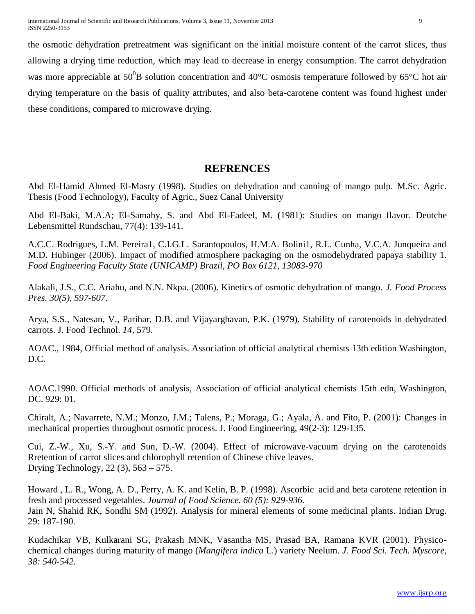the osmotic dehydration pretreatment was significant on the initial moisture content of the carrot slices, thus allowing a drying time reduction, which may lead to decrease in energy consumption. The carrot dehydration was more appreciable at  $50^{0}B$  solution concentration and 40°C osmosis temperature followed by 65°C hot air drying temperature on the basis of quality attributes, and also beta-carotene content was found highest under these conditions, compared to microwave drying.

# **REFRENCES**

Abd El-Hamid Ahmed El-Masry (1998). Studies on dehydration and canning of mango pulp. M.Sc. Agric. Thesis (Food Technology), Faculty of Agric., Suez Canal University

Abd El-Baki, M.A.A; El-Samahy, S. and Abd El-Fadeel, M. (1981): Studies on mango flavor. Deutche Lebensmittel Rundschau, 77(4): 139-141.

A.C.C. Rodrigues, L.M. Pereira1, C.I.G.L. Sarantopoulos, H.M.A. Bolini1, R.L. Cunha, V.C.A. Junqueira and M.D. Hubinger (2006). Impact of modified atmosphere packaging on the osmodehydrated papaya stability 1. *Food Engineering Faculty State (UNICAMP) Brazil, PO Box 6121, 13083-970*

Alakali, J.S., C.C. Ariahu, and N.N. Nkpa. (2006). Kinetics of osmotic dehydration of mango. *J. Food Process Pres. 30(5), 597-607.*

Arya, S.S., Natesan, V., Parihar, D.B. and Vijayarghavan, P.K. (1979). Stability of carotenoids in dehydrated carrots. J. Food Technol. *14*, 579.

AOAC., 1984, Official method of analysis. Association of official analytical chemists 13th edition Washington, D.C.

AOAC.1990. Official methods of analysis, Association of official analytical chemists 15th edn, Washington, DC. 929: 01.

Chiralt, A.; Navarrete, N.M.; Monzo, J.M.; Talens, P.; Moraga, G.; Ayala, A. and Fito, P. (2001): Changes in mechanical properties throughout osmotic process. J. Food Engineering, 49(2-3): 129-135.

Cui, Z.-W., Xu, S.-Y. and Sun, D.-W. (2004). Effect of microwave-vacuum drying on the carotenoids Rretention of carrot slices and chlorophyll retention of Chinese chive leaves. Drying Technology, 22 (3), 563 – 575.

Howard , L. R., Wong, A. D., Perry, A. K. and Kelin, B. P. (1998). Ascorbic acid and beta carotene retention in fresh and processed vegetables. *Journal of Food Science. 60 (5): 929-936.* Jain N, Shahid RK, Sondhi SM (1992). Analysis for mineral elements of some medicinal plants. Indian Drug. 29: 187-190.

Kudachikar VB, Kulkarani SG, Prakash MNK, Vasantha MS, Prasad BA, Ramana KVR (2001). Physicochemical changes during maturity of mango (*Mangifera indica* L.) variety Neelum. *J. Food Sci. Tech. Myscore, 38: 540-542.*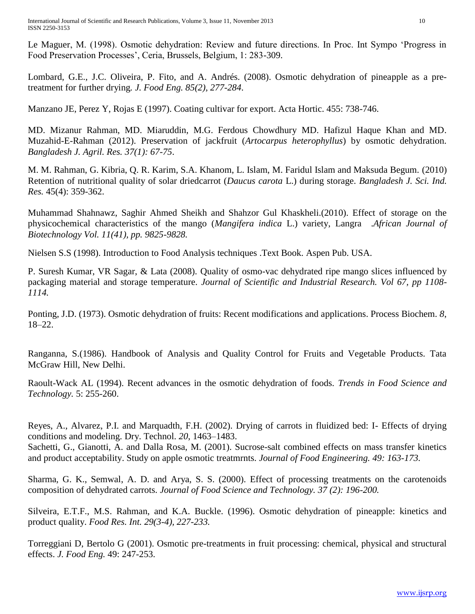Le Maguer, M. (1998). Osmotic dehydration: Review and future directions. In Proc. Int Sympo 'Progress in Food Preservation Processes', Ceria, Brussels, Belgium, 1: 283-309.

Lombard, G.E., J.C. Oliveira, P. Fito, and A. Andrés. (2008). Osmotic dehydration of pineapple as a pretreatment for further drying*. J. Food Eng. 85(2), 277-284*.

Manzano JE, Perez Y, Rojas E (1997). Coating cultivar for export. Acta Hortic. 455: 738-746.

MD. Mizanur Rahman, MD. Miaruddin, M.G. Ferdous Chowdhury MD. Hafizul Haque Khan and MD. Muzahid-E-Rahman (2012). Preservation of jackfruit (*Artocarpus heterophyllus*) by osmotic dehydration. *Bangladesh J. Agril. Res. 37(1): 67-75*.

M. M. Rahman, G. Kibria, Q. R. Karim, S.A. Khanom, L. Islam, M. Faridul Islam and Maksuda Begum. (2010) Retention of nutritional quality of solar driedcarrot (*Daucus carota* L.) during storage. *Bangladesh J. Sci. Ind. Res.* 45(4): 359-362.

Muhammad Shahnawz, Saghir Ahmed Sheikh and Shahzor Gul Khaskheli.(2010). Effect of storage on the physicochemical characteristics of the mango (*Mangifera indica* L.) variety, Langra .*African Journal of Biotechnology Vol. 11(41), pp. 9825-9828.*

Nielsen S.S (1998). Introduction to Food Analysis techniques .Text Book. Aspen Pub. USA.

P. Suresh Kumar, VR Sagar, & Lata (2008). Quality of osmo-vac dehydrated ripe mango slices influenced by packaging material and storage temperature. *Journal of Scientific and Industrial Research. Vol 67, pp 1108- 1114.*

Ponting, J.D. (1973). Osmotic dehydration of fruits: Recent modifications and applications. Process Biochem. *8*, 18–22.

Ranganna, S.(1986). Handbook of Analysis and Quality Control for Fruits and Vegetable Products. Tata McGraw Hill, New Delhi.

Raoult-Wack AL (1994). Recent advances in the osmotic dehydration of foods. *Trends in Food Science and Technology.* 5: 255-260.

Reyes, A., Alvarez, P.I. and Marquadth, F.H. (2002). Drying of carrots in fluidized bed: I- Effects of drying conditions and modeling. Dry. Technol. *20*, 1463–1483.

Sachetti, G., Gianotti, A. and Dalla Rosa, M. (2001). Sucrose-salt combined effects on mass transfer kinetics and product acceptability. Study on apple osmotic treatmrnts. *Journal of Food Engineering. 49: 163-173.*

Sharma, G. K., Semwal, A. D. and Arya, S. S. (2000). Effect of processing treatments on the carotenoids composition of dehydrated carrots. *Journal of Food Science and Technology. 37 (2): 196-200.*

Silveira, E.T.F., M.S. Rahman, and K.A. Buckle. (1996). Osmotic dehydration of pineapple: kinetics and product quality. *Food Res. Int. 29(3-4), 227-233.*

Torreggiani D, Bertolo G (2001). Osmotic pre-treatments in fruit processing: chemical, physical and structural effects. *J. Food Eng.* 49: 247-253.